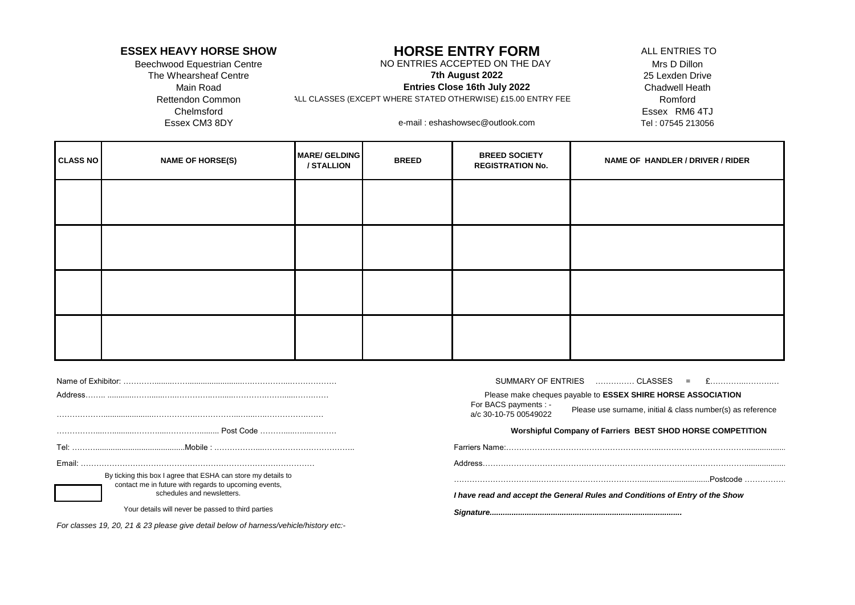### **ESSEX HEAVY HORSE SHOW** ALL ENTRIES TO **HORSE ENTRY FORM**

Beechwood Equestrian Centre NO ENTRIES ACCEPTED ON THE DAY Mrs D Dillon

Main Road Chadwell Heath **Entries Close 16th July 2022 7th August 2022**

Rettendon Common Romford ALL CLASSES (EXCEPT WHERE STATED OTHERWISE) £15.00 ENTRY FEE

The Whearsheaf Centre 25 Lexden Drive 25 Lexden Drive 25 Lexden Drive 25 Lexden Drive Chelmsford Essex RM6 4TJ Essex CM3 8DY Tel : 07545 213056 e-mail : eshashowsec@outlook.com

| <b>CLASS NO</b> | <b>NAME OF HORSE(S)</b> | <b>MARE/ GELDING</b><br>/ STALLION | <b>BREED</b> | <b>BREED SOCIETY</b><br><b>REGISTRATION No.</b> | NAME OF HANDLER / DRIVER / RIDER |
|-----------------|-------------------------|------------------------------------|--------------|-------------------------------------------------|----------------------------------|
|                 |                         |                                    |              |                                                 |                                  |
|                 |                         |                                    |              |                                                 |                                  |
|                 |                         |                                    |              |                                                 |                                  |
|                 |                         |                                    |              |                                                 |                                  |

|                                                                                                                        |                                                                                       | SUMMARY OF ENTRIES  CLASSES =                                                                                                                                                       |
|------------------------------------------------------------------------------------------------------------------------|---------------------------------------------------------------------------------------|-------------------------------------------------------------------------------------------------------------------------------------------------------------------------------------|
| Address.                                                                                                               |                                                                                       | Please make cheques payable to <b>ESSEX SHIRE HORSE ASSOCIATION</b><br>For BACS payments : -<br>Please use surname, initial & class number(s) as reference<br>a/c 30-10-75 00549022 |
|                                                                                                                        |                                                                                       | <b>Worshipful Company of Farriers BEST SHOD HORSE COMPETITION</b>                                                                                                                   |
|                                                                                                                        |                                                                                       |                                                                                                                                                                                     |
| Email:                                                                                                                 |                                                                                       | Address                                                                                                                                                                             |
| By ticking this box I agree that ESHA can store my details to<br>contact me in future with regards to upcoming events, |                                                                                       | .Postcode.                                                                                                                                                                          |
|                                                                                                                        | schedules and newsletters.                                                            | I have read and accept the General Rules and Conditions of Entry of the Show                                                                                                        |
|                                                                                                                        | Your details will never be passed to third parties                                    |                                                                                                                                                                                     |
|                                                                                                                        | For classes 19, 20, 21 & 23 please give detail below of harness/vehicle/history etc:- |                                                                                                                                                                                     |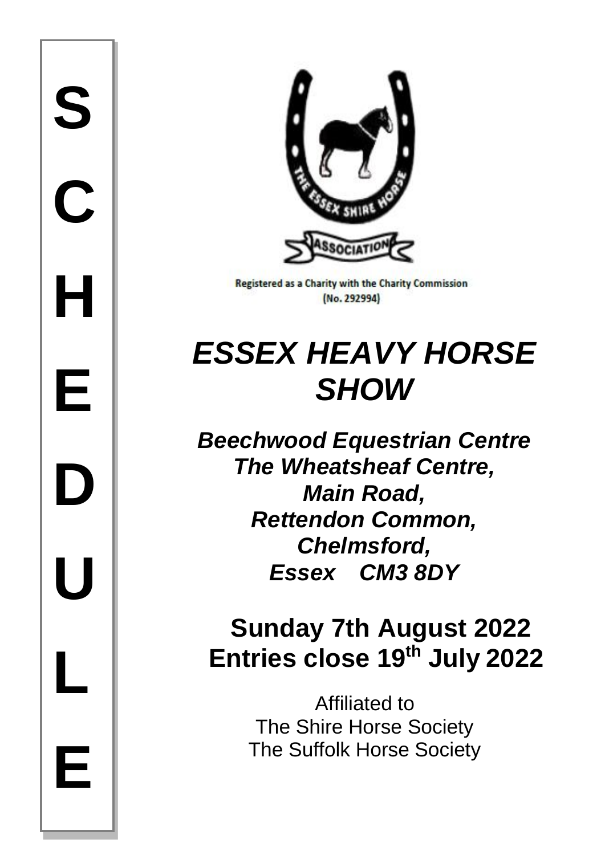

**Registered as a Charity with the Charity Commission** (No. 292994)

# *ESSEX HEAVY HORSE SHOW*

*Beechwood Equestrian Centre The Wheatsheaf Centre, Main Road, Rettendon Common, Chelmsford, Essex CM3 8DY*

# **Sunday 7th August 2022 Entries close 19 th July 2022**

Affiliated to The Shire Horse Society The Suffolk Horse Society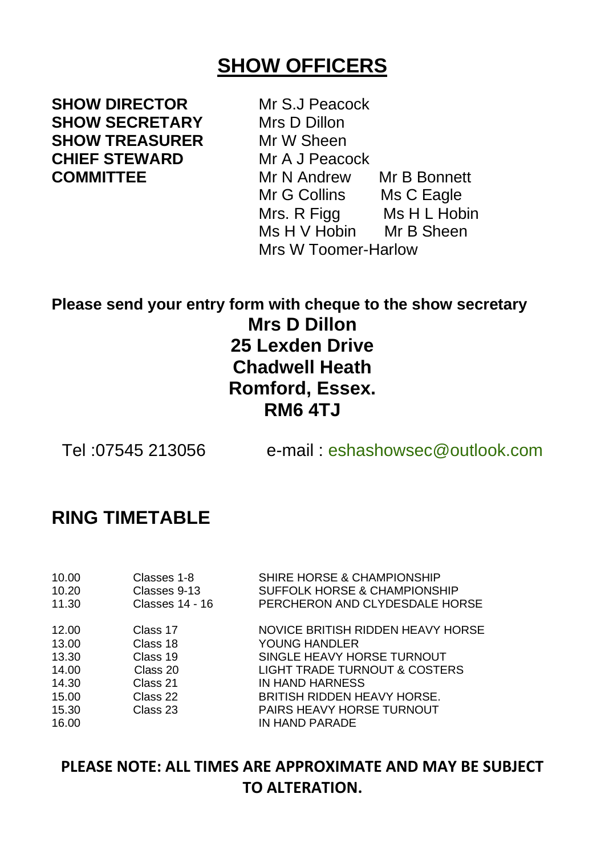### **SHOW OFFICERS**

**SHOW DIRECTOR** Mr S.J Peacock **SHOW SECRETARY** Mrs D Dillon<br>**SHOW TREASURER** Mr W Sheen **SHOW TREASURER CHIEF STEWARD** Mr A J Peacock

**COMMITTEE** Mr N Andrew Mr B Bonnett<br>Mr G Collins Ms C Eagle Mr G Collins Mrs. R Figg Ms H L Hobin Ms H V Hobin Mr B Sheen Mrs W Toomer-Harlow

### **Please send your entry form with cheque to the show secretary Mrs D Dillon 25 Lexden Drive Chadwell Heath Romford, Essex. RM6 4TJ**

Tel :07545 213056 e-mail : [eshashowsec@outlook.com](mailto:eshashowsec@outlook.com)

### **RING TIMETABLE**

| 10.00<br>10.20<br>11.30 | Classes 1-8<br>Classes 9-13<br>Classes 14 - 16 | SHIRE HORSE & CHAMPIONSHIP<br>SUFFOLK HORSE & CHAMPIONSHIP<br>PERCHERON AND CLYDESDALE HORSE |
|-------------------------|------------------------------------------------|----------------------------------------------------------------------------------------------|
| 12.00                   | Class 17                                       | NOVICE BRITISH RIDDEN HEAVY HORSE                                                            |
| 13.00                   | Class 18                                       | YOUNG HANDLER                                                                                |
| 13.30                   | Class 19                                       | SINGLE HEAVY HORSE TURNOUT                                                                   |
| 14.00                   | Class 20                                       | LIGHT TRADE TURNOUT & COSTERS                                                                |
| 14.30                   | Class 21                                       | IN HAND HARNESS                                                                              |
| 15.00                   | Class 22                                       | <b>BRITISH RIDDEN HEAVY HORSE.</b>                                                           |
| 15.30                   | Class 23                                       | PAIRS HEAVY HORSE TURNOUT                                                                    |
| 16.00                   |                                                | IN HAND PARADE                                                                               |

**PLEASE NOTE: ALL TIMES ARE APPROXIMATE AND MAY BE SUBJECT TO ALTERATION.**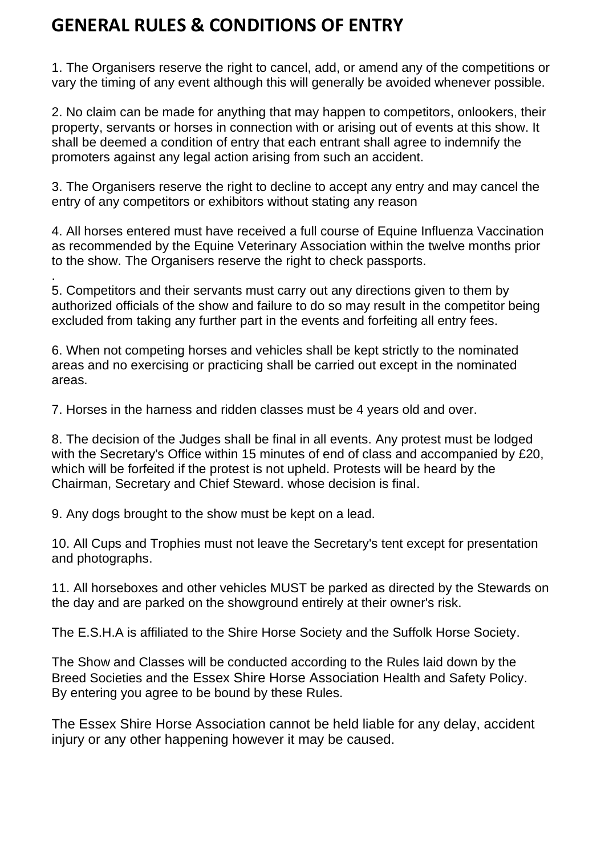### **GENERAL RULES & CONDITIONS OF ENTRY**

1. The Organisers reserve the right to cancel, add, or amend any of the competitions or vary the timing of any event although this will generally be avoided whenever possible.

2. No claim can be made for anything that may happen to competitors, onlookers, their property, servants or horses in connection with or arising out of events at this show. It shall be deemed a condition of entry that each entrant shall agree to indemnify the promoters against any legal action arising from such an accident.

3. The Organisers reserve the right to decline to accept any entry and may cancel the entry of any competitors or exhibitors without stating any reason

4. All horses entered must have received a full course of Equine Influenza Vaccination as recommended by the Equine Veterinary Association within the twelve months prior to the show. The Organisers reserve the right to check passports.

. 5. Competitors and their servants must carry out any directions given to them by authorized officials of the show and failure to do so may result in the competitor being excluded from taking any further part in the events and forfeiting all entry fees.

6. When not competing horses and vehicles shall be kept strictly to the nominated areas and no exercising or practicing shall be carried out except in the nominated areas.

7. Horses in the harness and ridden classes must be 4 years old and over.

8. The decision of the Judges shall be final in all events. Any protest must be lodged with the Secretary's Office within 15 minutes of end of class and accompanied by £20, which will be forfeited if the protest is not upheld. Protests will be heard by the Chairman, Secretary and Chief Steward. whose decision is final.

9. Any dogs brought to the show must be kept on a lead.

10. All Cups and Trophies must not leave the Secretary's tent except for presentation and photographs.

11. All horseboxes and other vehicles MUST be parked as directed by the Stewards on the day and are parked on the showground entirely at their owner's risk.

The E.S.H.A is affiliated to the Shire Horse Society and the Suffolk Horse Society.

The Show and Classes will be conducted according to the Rules laid down by the Breed Societies and the Essex Shire Horse Association Health and Safety Policy. By entering you agree to be bound by these Rules.

The Essex Shire Horse Association cannot be held liable for any delay, accident injury or any other happening however it may be caused.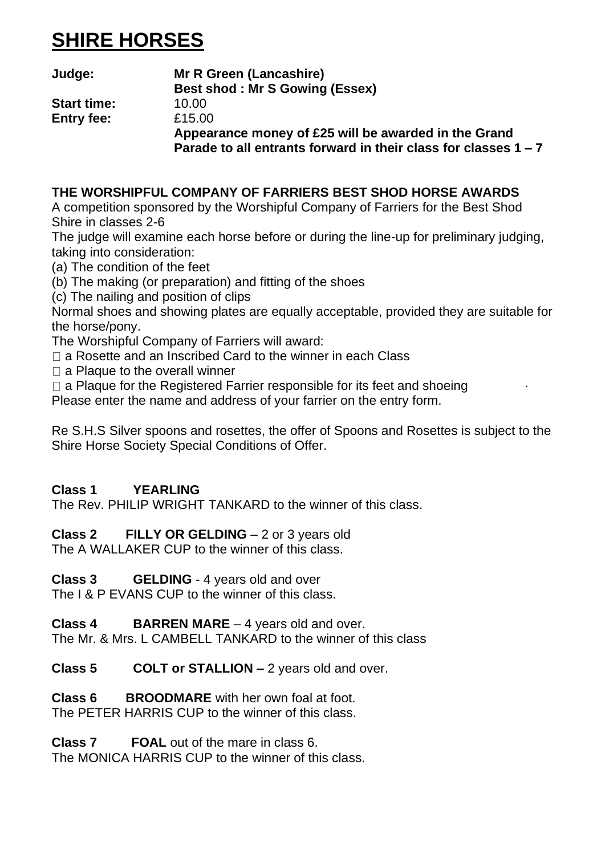# **SHIRE HORSES**

| Judge:             | Mr R Green (Lancashire)                                                                                                   |
|--------------------|---------------------------------------------------------------------------------------------------------------------------|
|                    | Best shod: Mr S Gowing (Essex)                                                                                            |
| <b>Start time:</b> | 10.00                                                                                                                     |
| Entry fee:         | £15.00                                                                                                                    |
|                    | Appearance money of £25 will be awarded in the Grand<br>Parade to all entrants forward in their class for classes $1 - 7$ |

#### **THE WORSHIPFUL COMPANY OF FARRIERS BEST SHOD HORSE AWARDS**

A competition sponsored by the Worshipful Company of Farriers for the Best Shod Shire in classes 2-6

The judge will examine each horse before or during the line-up for preliminary judging, taking into consideration:

- (a) The condition of the feet
- (b) The making (or preparation) and fitting of the shoes
- (c) The nailing and position of clips

Normal shoes and showing plates are equally acceptable, provided they are suitable for the horse/pony.

- The Worshipful Company of Farriers will award:
- □ a Rosette and an Inscribed Card to the winner in each Class
- $\Box$  a Plaque to the overall winner
- $\Box$  a Plaque for the Registered Farrier responsible for its feet and shoeing

Please enter the name and address of your farrier on the entry form.

Re S.H.S Silver spoons and rosettes, the offer of Spoons and Rosettes is subject to the Shire Horse Society Special Conditions of Offer.

#### **Class 1 YEARLING**

The Rev. PHILIP WRIGHT TANKARD to the winner of this class.

**Class 2 FILLY OR GELDING** – 2 or 3 years old

The A WALLAKER CUP to the winner of this class.

**Class 3 GELDING** - 4 years old and over

The I & P EVANS CUP to the winner of this class.

**Class 4 BARREN MARE** – 4 years old and over. The Mr. & Mrs. L.CAMBELL TANKARD to the winner of this class.

**Class 5 COLT or STALLION –** 2 years old and over.

**Class 6 BROODMARE** with her own foal at foot. The PETER HARRIS CUP to the winner of this class.

**Class 7 FOAL** out of the mare in class 6.

The MONICA HARRIS CUP to the winner of this class.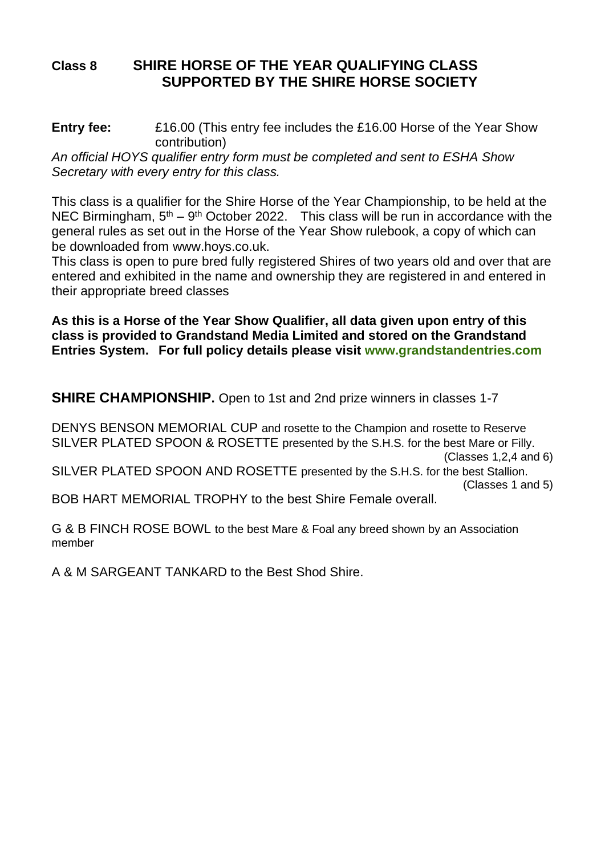#### **Class 8 SHIRE HORSE OF THE YEAR QUALIFYING CLASS SUPPORTED BY THE SHIRE HORSE SOCIETY**

**Entry fee:** £16.00 (This entry fee includes the £16.00 Horse of the Year Show contribution)

*An official HOYS qualifier entry form must be completed and sent to ESHA Show Secretary with every entry for this class.*

This class is a qualifier for the Shire Horse of the Year Championship, to be held at the NEC Birmingham, 5<sup>th</sup> – 9<sup>th</sup> October 2022. This class will be run in accordance with the general rules as set out in the Horse of the Year Show rulebook, a copy of which can be downloaded from [www.hoys.co.uk.](http://www.hoys.co.uk/)

This class is open to pure bred fully registered Shires of two years old and over that are entered and exhibited in the name and ownership they are registered in and entered in their appropriate breed classes

**As this is a Horse of the Year Show Qualifier, all data given upon entry of this class is provided to Grandstand Media Limited and stored on the Grandstand Entries System. For full policy details please visit [www.grandstandentries.com](http://www.grandstandentries.co/)**

**SHIRE CHAMPIONSHIP.** Open to 1st and 2nd prize winners in classes 1-7

DENYS BENSON MEMORIAL CUP and rosette to the Champion and rosette to Reserve SILVER PLATED SPOON & ROSETTE presented by the S.H.S. for the best Mare or Filly. (Classes 1,2,4 and 6) SILVER PLATED SPOON AND ROSETTE presented by the S.H.S. for the best Stallion. (Classes 1 and 5) BOB HART MEMORIAL TROPHY to the best Shire Female overall.

G & B FINCH ROSE BOWL to the best Mare & Foal any breed shown by an Association member

A & M SARGEANT TANKARD to the Best Shod Shire.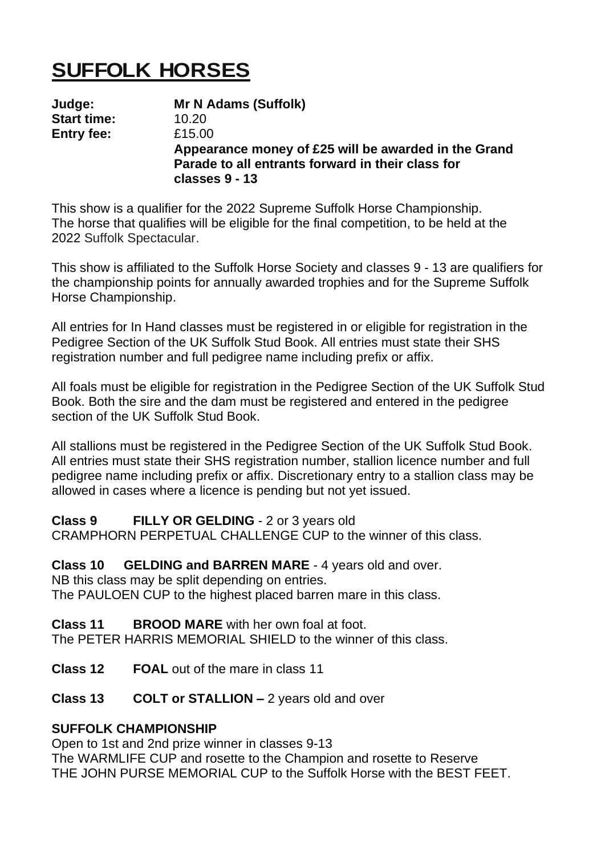# **SUFFOLK HORSES**

**Judge: Mr N Adams (Suffolk) Start time: Entry fee:** £15.00 **Appearance money of £25 will be awarded in the Grand Parade to all entrants forward in their class for classes 9 - 13**

This show is a qualifier for the 2022 Supreme Suffolk Horse Championship. The horse that qualifies will be eligible for the final competition, to be held at the 2022 Suffolk Spectacular.

This show is affiliated to the Suffolk Horse Society and classes 9 - 13 are qualifiers for the championship points for annually awarded trophies and for the Supreme Suffolk Horse Championship.

All entries for In Hand classes must be registered in or eligible for registration in the Pedigree Section of the UK Suffolk Stud Book. All entries must state their SHS registration number and full pedigree name including prefix or affix.

All foals must be eligible for registration in the Pedigree Section of the UK Suffolk Stud Book. Both the sire and the dam must be registered and entered in the pedigree section of the UK Suffolk Stud Book.

All stallions must be registered in the Pedigree Section of the UK Suffolk Stud Book. All entries must state their SHS registration number, stallion licence number and full pedigree name including prefix or affix. Discretionary entry to a stallion class may be allowed in cases where a licence is pending but not yet issued.

**Class 9 FILLY OR GELDING** - 2 or 3 years old

CRAMPHORN PERPETUAL CHALLENGE CUP to the winner of this class.

**Class 10 GELDING and BARREN MARE** - 4 years old and over.

NB this class may be split depending on entries.

The PAULOEN CUP to the highest placed barren mare in this class.

**Class 11 BROOD MARE** with her own foal at foot. The PETER HARRIS MEMORIAL SHIELD to the winner of this class.

**Class 12 FOAL** out of the mare in class 11

**Class 13 COLT or STALLION –** 2 years old and over

#### **SUFFOLK CHAMPIONSHIP**

Open to 1st and 2nd prize winner in classes 9-13 The WARMLIFE CUP and rosette to the Champion and rosette to Reserve THE JOHN PURSE MEMORIAL CUP to the Suffolk Horse with the BEST FFFT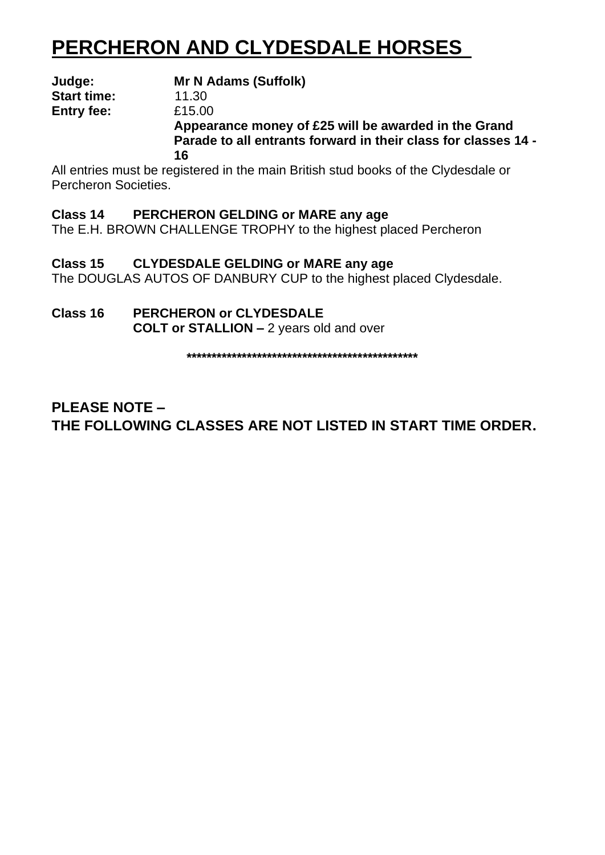# **PERCHERON AND CLYDESDALE HORSES**

| Judge:             | Mr N Adams (Suffolk)                                           |  |
|--------------------|----------------------------------------------------------------|--|
| <b>Start time:</b> | 11.30                                                          |  |
| Entry fee:         | £15.00                                                         |  |
|                    | Appearance money of £25 will be awarded in the Grand           |  |
|                    | Parade to all entrants forward in their class for classes 14 - |  |
|                    | 16                                                             |  |

All entries must be registered in the main British stud books of the Clydesdale or Percheron Societies.

**Class 14 PERCHERON GELDING or MARE any age** The E.H. BROWN CHALLENGE TROPHY to the highest placed Percheron

**Class 15 CLYDESDALE GELDING or MARE any age** The DOUGLAS AUTOS OF DANBURY CUP to the highest placed Clydesdale.

**Class 16 PERCHERON or CLYDESDALE COLT or STALLION –** 2 years old and over

**\*\*\*\*\*\*\*\*\*\*\*\*\*\*\*\*\*\*\*\*\*\*\*\*\*\*\*\*\*\*\*\*\*\*\*\*\*\*\*\*\*\*\*\*\*\***

**PLEASE NOTE – THE FOLLOWING CLASSES ARE NOT LISTED IN START TIME ORDER.**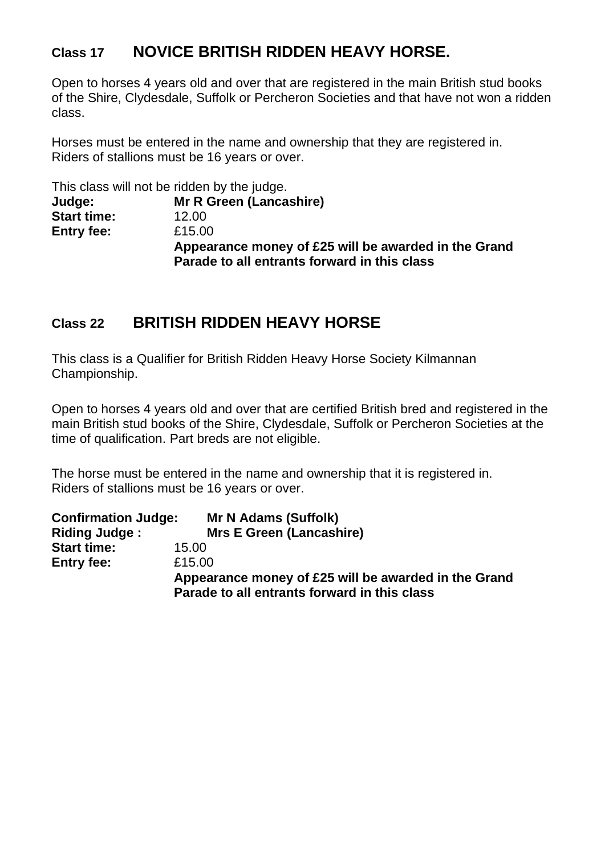#### **Class 17 NOVICE BRITISH RIDDEN HEAVY HORSE.**

Open to horses 4 years old and over that are registered in the main British stud books of the Shire, Clydesdale, Suffolk or Percheron Societies and that have not won a ridden class.

Horses must be entered in the name and ownership that they are registered in. Riders of stallions must be 16 years or over.

|                    | This class will not be ridden by the judge.                                                          |
|--------------------|------------------------------------------------------------------------------------------------------|
| Judge:             | Mr R Green (Lancashire)                                                                              |
| <b>Start time:</b> | 12.00                                                                                                |
| Entry fee:         | £15.00                                                                                               |
|                    | Appearance money of £25 will be awarded in the Grand<br>Parade to all entrants forward in this class |

#### **Class 22 BRITISH RIDDEN HEAVY HORSE**

This class is a Qualifier for British Ridden Heavy Horse Society Kilmannan Championship.

Open to horses 4 years old and over that are certified British bred and registered in the main British stud books of the Shire, Clydesdale, Suffolk or Percheron Societies at the time of qualification. Part breds are not eligible.

The horse must be entered in the name and ownership that it is registered in. Riders of stallions must be 16 years or over.

| <b>Confirmation Judge:</b> | Mr N Adams (Suffolk)                                                                                 |
|----------------------------|------------------------------------------------------------------------------------------------------|
| Riding Judge:              | Mrs E Green (Lancashire)                                                                             |
| <b>Start time:</b>         | 15.00                                                                                                |
| <b>Entry fee:</b>          | £15.00                                                                                               |
|                            | Appearance money of £25 will be awarded in the Grand<br>Parade to all entrants forward in this class |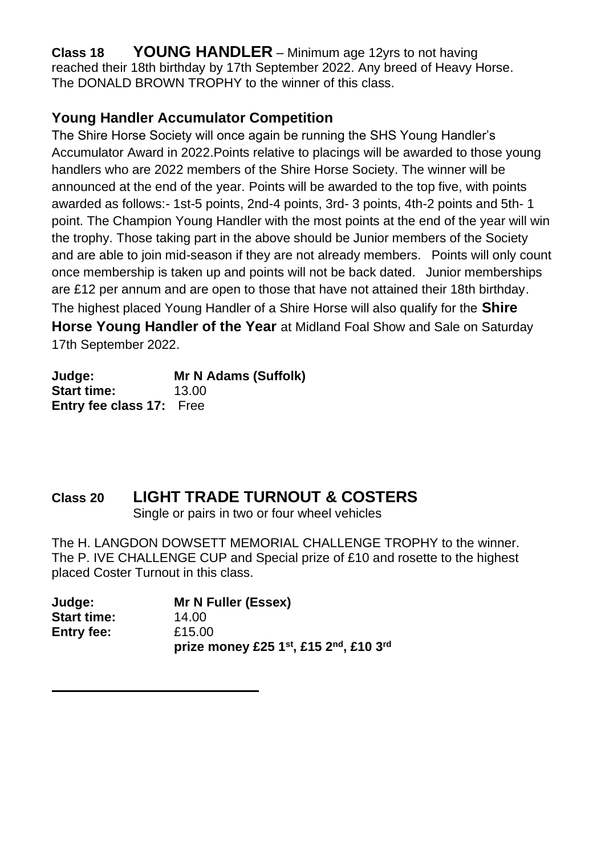**Class 18 YOUNG HANDLER** – Minimum age 12yrs to not having reached their 18th birthday by 17th September 2022. Any breed of Heavy Horse. The DONALD BROWN TROPHY to the winner of this class.

#### **Young Handler Accumulator Competition**

The Shire Horse Society will once again be running the SHS Young Handler's Accumulator Award in 2022.Points relative to placings will be awarded to those young handlers who are 2022 members of the Shire Horse Society. The winner will be announced at the end of the year. Points will be awarded to the top five, with points awarded as follows:- 1st-5 points, 2nd-4 points, 3rd- 3 points, 4th-2 points and 5th- 1 point. The Champion Young Handler with the most points at the end of the year will win the trophy. Those taking part in the above should be Junior members of the Society and are able to join mid-season if they are not already members. Points will only count once membership is taken up and points will not be back dated. Junior memberships are £12 per annum and are open to those that have not attained their 18th birthday. The highest placed Young Handler of a Shire Horse will also qualify for the **Shire Horse Young Handler of the Year** at Midland Foal Show and Sale on Saturday 17th September 2022.

| Judge:                          | Mr N Adams (Suffolk) |
|---------------------------------|----------------------|
| <b>Start time:</b>              | 13.00                |
| <b>Entry fee class 17: Free</b> |                      |

### **Class 20 LIGHT TRADE TURNOUT & COSTERS**

Single or pairs in two or four wheel vehicles

The H. LANGDON DOWSETT MEMORIAL CHALLENGE TROPHY to the winner. The P. IVE CHALLENGE CUP and Special prize of £10 and rosette to the highest placed Coster Turnout in this class.

| Judge:             | Mr N Fuller (Essex)                   |
|--------------------|---------------------------------------|
| <b>Start time:</b> | 14.00                                 |
| Entry fee:         | £15.00                                |
|                    | prize money £25 1st, £15 2nd, £10 3rd |